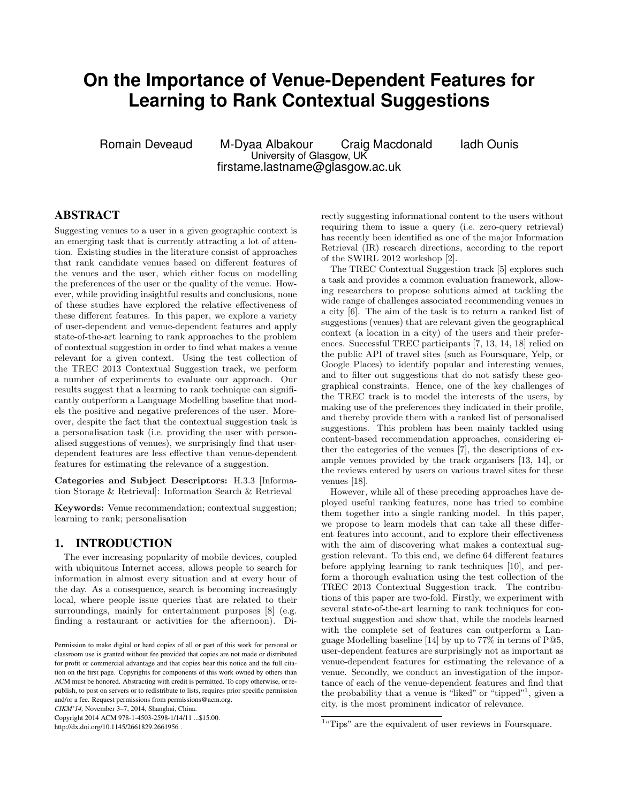## **On the Importance of Venue-Dependent Features for Learning to Rank Contextual Suggestions**

Romain Deveaud M-Dyaa Albakour Craig Macdonald Iadh Ounis University of Glasgow, UK firstame.lastname@glasgow.ac.uk

### ABSTRACT

Suggesting venues to a user in a given geographic context is an emerging task that is currently attracting a lot of attention. Existing studies in the literature consist of approaches that rank candidate venues based on different features of the venues and the user, which either focus on modelling the preferences of the user or the quality of the venue. However, while providing insightful results and conclusions, none of these studies have explored the relative effectiveness of these different features. In this paper, we explore a variety of user-dependent and venue-dependent features and apply state-of-the-art learning to rank approaches to the problem of contextual suggestion in order to find what makes a venue relevant for a given context. Using the test collection of the TREC 2013 Contextual Suggestion track, we perform a number of experiments to evaluate our approach. Our results suggest that a learning to rank technique can significantly outperform a Language Modelling baseline that models the positive and negative preferences of the user. Moreover, despite the fact that the contextual suggestion task is a personalisation task (i.e. providing the user with personalised suggestions of venues), we surprisingly find that userdependent features are less effective than venue-dependent features for estimating the relevance of a suggestion.

Categories and Subject Descriptors: H.3.3 [Information Storage & Retrieval]: Information Search & Retrieval

Keywords: Venue recommendation; contextual suggestion; learning to rank; personalisation

#### 1. INTRODUCTION

The ever increasing popularity of mobile devices, coupled with ubiquitous Internet access, allows people to search for information in almost every situation and at every hour of the day. As a consequence, search is becoming increasingly local, where people issue queries that are related to their surroundings, mainly for entertainment purposes [8] (e.g. finding a restaurant or activities for the afternoon). Di-

*CIKM'14,* November 3–7, 2014, Shanghai, China.

Copyright 2014 ACM 978-1-4503-2598-1/14/11 ...\$15.00.

http://dx.doi.org/10.1145/2661829.2661956 .

rectly suggesting informational content to the users without requiring them to issue a query (i.e. zero-query retrieval) has recently been identified as one of the major Information Retrieval (IR) research directions, according to the report of the SWIRL 2012 workshop [2].

The TREC Contextual Suggestion track [5] explores such a task and provides a common evaluation framework, allowing researchers to propose solutions aimed at tackling the wide range of challenges associated recommending venues in a city [6]. The aim of the task is to return a ranked list of suggestions (venues) that are relevant given the geographical context (a location in a city) of the users and their preferences. Successful TREC participants [7, 13, 14, 18] relied on the public API of travel sites (such as Foursquare, Yelp, or Google Places) to identify popular and interesting venues, and to filter out suggestions that do not satisfy these geographical constraints. Hence, one of the key challenges of the TREC track is to model the interests of the users, by making use of the preferences they indicated in their profile, and thereby provide them with a ranked list of personalised suggestions. This problem has been mainly tackled using content-based recommendation approaches, considering either the categories of the venues [7], the descriptions of example venues provided by the track organisers [13, 14], or the reviews entered by users on various travel sites for these venues [18].

However, while all of these preceding approaches have deployed useful ranking features, none has tried to combine them together into a single ranking model. In this paper, we propose to learn models that can take all these different features into account, and to explore their effectiveness with the aim of discovering what makes a contextual suggestion relevant. To this end, we define 64 different features before applying learning to rank techniques [10], and perform a thorough evaluation using the test collection of the TREC 2013 Contextual Suggestion track. The contributions of this paper are two-fold. Firstly, we experiment with several state-of-the-art learning to rank techniques for contextual suggestion and show that, while the models learned with the complete set of features can outperform a Language Modelling baseline [14] by up to 77% in terms of P@5, user-dependent features are surprisingly not as important as venue-dependent features for estimating the relevance of a venue. Secondly, we conduct an investigation of the importance of each of the venue-dependent features and find that the probability that a venue is "liked" or "tipped"<sup>1</sup>, given a city, is the most prominent indicator of relevance.

Permission to make digital or hard copies of all or part of this work for personal or classroom use is granted without fee provided that copies are not made or distributed for profit or commercial advantage and that copies bear this notice and the full citation on the first page. Copyrights for components of this work owned by others than ACM must be honored. Abstracting with credit is permitted. To copy otherwise, or republish, to post on servers or to redistribute to lists, requires prior specific permission and/or a fee. Request permissions from permissions@acm.org.

<sup>&</sup>lt;sup>1</sup>"Tips" are the equivalent of user reviews in Foursquare.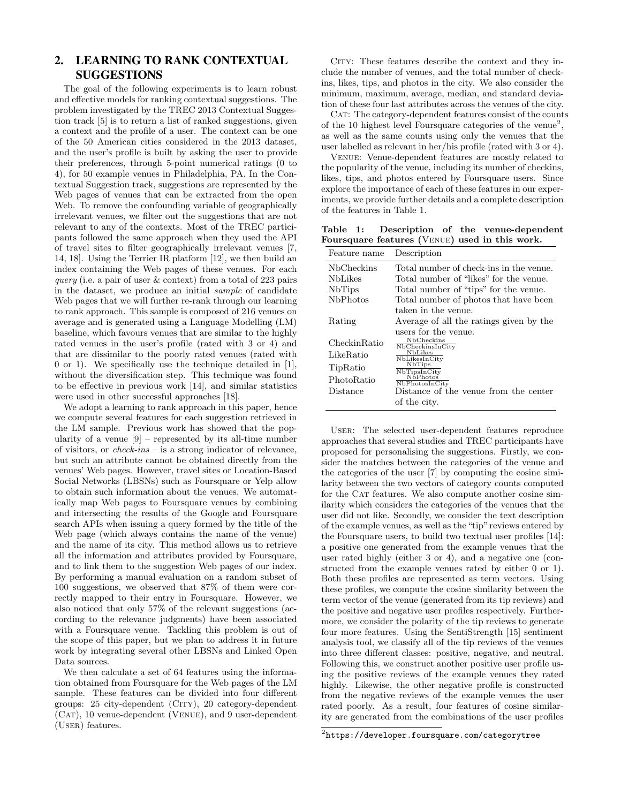## 2. LEARNING TO RANK CONTEXTUAL SUGGESTIONS

The goal of the following experiments is to learn robust and effective models for ranking contextual suggestions. The problem investigated by the TREC 2013 Contextual Suggestion track [5] is to return a list of ranked suggestions, given a context and the profile of a user. The context can be one of the 50 American cities considered in the 2013 dataset, and the user's profile is built by asking the user to provide their preferences, through 5-point numerical ratings (0 to 4), for 50 example venues in Philadelphia, PA. In the Contextual Suggestion track, suggestions are represented by the Web pages of venues that can be extracted from the open Web. To remove the confounding variable of geographically irrelevant venues, we filter out the suggestions that are not relevant to any of the contexts. Most of the TREC participants followed the same approach when they used the API of travel sites to filter geographically irrelevant venues [7, 14, 18]. Using the Terrier IR platform [12], we then build an index containing the Web pages of these venues. For each query (i.e. a pair of user  $\&$  context) from a total of 223 pairs in the dataset, we produce an initial sample of candidate Web pages that we will further re-rank through our learning to rank approach. This sample is composed of 216 venues on average and is generated using a Language Modelling (LM) baseline, which favours venues that are similar to the highly rated venues in the user's profile (rated with 3 or 4) and that are dissimilar to the poorly rated venues (rated with 0 or 1). We specifically use the technique detailed in [1], without the diversification step. This technique was found to be effective in previous work [14], and similar statistics were used in other successful approaches [18].

We adopt a learning to rank approach in this paper, hence we compute several features for each suggestion retrieved in the LM sample. Previous work has showed that the popularity of a venue  $[9]$  – represented by its all-time number of visitors, or check-ins – is a strong indicator of relevance, but such an attribute cannot be obtained directly from the venues' Web pages. However, travel sites or Location-Based Social Networks (LBSNs) such as Foursquare or Yelp allow to obtain such information about the venues. We automatically map Web pages to Foursquare venues by combining and intersecting the results of the Google and Foursquare search APIs when issuing a query formed by the title of the Web page (which always contains the name of the venue) and the name of its city. This method allows us to retrieve all the information and attributes provided by Foursquare, and to link them to the suggestion Web pages of our index. By performing a manual evaluation on a random subset of 100 suggestions, we observed that 87% of them were correctly mapped to their entry in Foursquare. However, we also noticed that only 57% of the relevant suggestions (according to the relevance judgments) have been associated with a Foursquare venue. Tackling this problem is out of the scope of this paper, but we plan to address it in future work by integrating several other LBSNs and Linked Open Data sources.

We then calculate a set of 64 features using the information obtained from Foursquare for the Web pages of the LM sample. These features can be divided into four different groups: 25 city-dependent (City), 20 category-dependent (Cat), 10 venue-dependent (Venue), and 9 user-dependent (User) features.

CITY: These features describe the context and they include the number of venues, and the total number of checkins, likes, tips, and photos in the city. We also consider the minimum, maximum, average, median, and standard deviation of these four last attributes across the venues of the city.

CAT: The category-dependent features consist of the counts of the 10 highest level Foursquare categories of the venue<sup>2</sup>, as well as the same counts using only the venues that the user labelled as relevant in her/his profile (rated with 3 or 4).

Venue: Venue-dependent features are mostly related to the popularity of the venue, including its number of checkins, likes, tips, and photos entered by Foursquare users. Since explore the importance of each of these features in our experiments, we provide further details and a complete description of the features in Table 1.

Table 1: Description of the venue-dependent Foursquare features (Venue) used in this work.

| Feature name     | Description                             |  |  |  |  |
|------------------|-----------------------------------------|--|--|--|--|
| NbCheckins       | Total number of check-ins in the venue. |  |  |  |  |
| <b>NbLikes</b>   | Total number of "likes" for the venue.  |  |  |  |  |
| <b>NbTips</b>    | Total number of "tips" for the venue.   |  |  |  |  |
| <b>N</b> bPhotos | Total number of photos that have been   |  |  |  |  |
|                  | taken in the venue.                     |  |  |  |  |
| Rating           | Average of all the ratings given by the |  |  |  |  |
|                  | users for the venue.                    |  |  |  |  |
| Checkin Ratio    | NbCheckins<br>NbCheckinsInCity          |  |  |  |  |
| LikeRatio        | <b>NbLikes</b><br>NbLikesInCity         |  |  |  |  |
| TipRatio         | <b>NbTips</b><br>NbTipsInCity           |  |  |  |  |
| PhotoRatio       | NbPhotos<br>NbPhotosInCity              |  |  |  |  |
| Distance         | Distance of the venue from the center   |  |  |  |  |
|                  | of the city.                            |  |  |  |  |

User: The selected user-dependent features reproduce approaches that several studies and TREC participants have proposed for personalising the suggestions. Firstly, we consider the matches between the categories of the venue and the categories of the user [7] by computing the cosine similarity between the two vectors of category counts computed for the CAT features. We also compute another cosine similarity which considers the categories of the venues that the user did not like. Secondly, we consider the text description of the example venues, as well as the "tip" reviews entered by the Foursquare users, to build two textual user profiles [14]: a positive one generated from the example venues that the user rated highly (either 3 or 4), and a negative one (constructed from the example venues rated by either 0 or 1). Both these profiles are represented as term vectors. Using these profiles, we compute the cosine similarity between the term vector of the venue (generated from its tip reviews) and the positive and negative user profiles respectively. Furthermore, we consider the polarity of the tip reviews to generate four more features. Using the SentiStrength [15] sentiment analysis tool, we classify all of the tip reviews of the venues into three different classes: positive, negative, and neutral. Following this, we construct another positive user profile using the positive reviews of the example venues they rated highly. Likewise, the other negative profile is constructed from the negative reviews of the example venues the user rated poorly. As a result, four features of cosine similarity are generated from the combinations of the user profiles

 $^2$ https://developer.foursquare.com/categorytree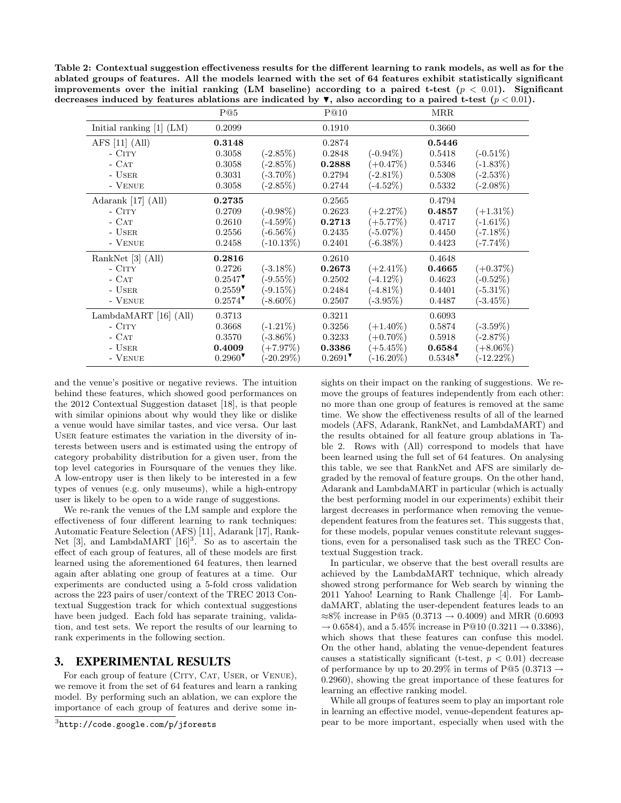Table 2: Contextual suggestion effectiveness results for the different learning to rank models, as well as for the ablated groups of features. All the models learned with the set of 64 features exhibit statistically significant improvements over the initial ranking (LM baseline) according to a paired t-test  $(p < 0.01)$ . Significant decreases induced by features ablations are indicated by  $\blacktriangledown$ , also according to a paired t-test  $(p < 0.01)$ .

|                                 | P@5                   |              | P@10   |              | MRR                   |              |
|---------------------------------|-----------------------|--------------|--------|--------------|-----------------------|--------------|
| Initial ranking $[1]$ (LM)      | 0.2099                |              | 0.1910 |              | 0.3660                |              |
| AFS $[11]$ (All)                | 0.3148                |              | 0.2874 |              | 0.5446                |              |
| $-$ CITY                        | 0.3058                | $(-2.85%)$   | 0.2848 | $(-0.94\%)$  | 0.5418                | $(-0.51\%)$  |
| $-$ CAT                         | 0.3058                | $(-2.85\%)$  | 0.2888 | $(+0.47\%)$  | 0.5346                | $(-1.83\%)$  |
| - USER                          | 0.3031                | $(-3.70\%)$  | 0.2794 | $(-2.81\%)$  | 0.5308                | $(-2.53\%)$  |
| - VENUE                         | 0.3058                | $(-2.85%)$   | 0.2744 | $(-4.52\%)$  | 0.5332                | $(-2.08\%)$  |
| Adarank [17] (All)              | 0.2735                |              | 0.2565 |              | 0.4794                |              |
| $-$ CITY                        | 0.2709                | $(-0.98\%)$  | 0.2623 | $(+2.27%)$   | 0.4857                | $(+1.31\%)$  |
| $ CAT$                          | 0.2610                | $(-4.59\%)$  | 0.2713 | $(+5.77%)$   | 0.4717                | $(-1.61\%)$  |
| - USER                          | 0.2556                | $(-6.56\%)$  | 0.2435 | $(-5.07\%)$  | 0.4450                | (-7.18 $\%)$ |
| - VENUE                         | 0.2458                | $(-10.13\%)$ | 0.2401 | $(-6.38\%)$  | 0.4423                | $(-7.74\%)$  |
| RankNet [3] (All)               | 0.2816                |              | 0.2610 |              | 0.4648                |              |
| $-$ CITY                        | 0.2726                | $(-3.18\%)$  | 0.2673 | $(+2.41\%)$  | 0.4665                | $(+0.37\%)$  |
| $-CAT$                          | $0.2547$ <sup>*</sup> | $(-9.55\%)$  | 0.2502 | $(-4.12\%)$  | 0.4623                | $(-0.52\%)$  |
| - USER                          | $0.2559$ <sup>V</sup> | $(-9.15\%)$  | 0.2484 | $(-4.81\%)$  | 0.4401                | $(-5.31\%)$  |
| - VENUE                         | $0.2574$ <sup>V</sup> | $(-8.60\%)$  | 0.2507 | $(-3.95\%)$  | 0.4487                | $(-3.45\%)$  |
| Lambda $\text{MART}$ [16] (All) | 0.3713                |              | 0.3211 |              | 0.6093                |              |
| $-$ CITY                        | 0.3668                | $(-1.21\%)$  | 0.3256 | $(+1.40\%)$  | 0.5874                | $(-3.59\%)$  |
| $-CAT$                          | 0.3570                | $-3.86\%$    | 0.3233 | $(+0.70\%)$  | 0.5918                | $(-2.87%)$   |
| - USER                          | 0.4009                | $(+7.97%)$   | 0.3386 | $(+5.45\%)$  | 0.6584                | $(+8.06\%)$  |
| - VENUE                         | $0.2960$ <sup>V</sup> | $(-20.29\%)$ | 0.2691 | $(-16.20\%)$ | $0.5348$ <sup>V</sup> | $(-12.22\%)$ |

and the venue's positive or negative reviews. The intuition behind these features, which showed good performances on the 2012 Contextual Suggestion dataset [18], is that people with similar opinions about why would they like or dislike a venue would have similar tastes, and vice versa. Our last User feature estimates the variation in the diversity of interests between users and is estimated using the entropy of category probability distribution for a given user, from the top level categories in Foursquare of the venues they like. A low-entropy user is then likely to be interested in a few types of venues (e.g. only museums), while a high-entropy user is likely to be open to a wide range of suggestions.

We re-rank the venues of the LM sample and explore the effectiveness of four different learning to rank techniques: Automatic Feature Selection (AFS) [11], Adarank [17], Rank-Net [3], and LambdaMART  $[16]^{3}$ . So as to ascertain the effect of each group of features, all of these models are first learned using the aforementioned 64 features, then learned again after ablating one group of features at a time. Our experiments are conducted using a 5-fold cross validation across the 223 pairs of user/context of the TREC 2013 Contextual Suggestion track for which contextual suggestions have been judged. Each fold has separate training, validation, and test sets. We report the results of our learning to rank experiments in the following section.

#### 3. EXPERIMENTAL RESULTS

For each group of feature (CITY, CAT, USER, or VENUE), we remove it from the set of 64 features and learn a ranking model. By performing such an ablation, we can explore the importance of each group of features and derive some insights on their impact on the ranking of suggestions. We remove the groups of features independently from each other: no more than one group of features is removed at the same time. We show the effectiveness results of all of the learned models (AFS, Adarank, RankNet, and LambdaMART) and the results obtained for all feature group ablations in Table 2. Rows with (All) correspond to models that have been learned using the full set of 64 features. On analysing this table, we see that RankNet and AFS are similarly degraded by the removal of feature groups. On the other hand, Adarank and LambdaMART in particular (which is actually the best performing model in our experiments) exhibit their largest decreases in performance when removing the venuedependent features from the features set. This suggests that, for these models, popular venues constitute relevant suggestions, even for a personalised task such as the TREC Contextual Suggestion track.

In particular, we observe that the best overall results are achieved by the LambdaMART technique, which already showed strong performance for Web search by winning the 2011 Yahoo! Learning to Rank Challenge [4]. For LambdaMART, ablating the user-dependent features leads to an  $≈8\%$  increase in P@5 (0.3713 → 0.4009) and MRR (0.6093  $\rightarrow 0.6584$ , and a 5.45% increase in P@10 (0.3211  $\rightarrow 0.3386$ ), which shows that these features can confuse this model. On the other hand, ablating the venue-dependent features causes a statistically significant (t-test,  $p < 0.01$ ) decrease of performance by up to 20.29% in terms of P@5 (0.3713  $\rightarrow$ 0.2960), showing the great importance of these features for learning an effective ranking model.

While all groups of features seem to play an important role in learning an effective model, venue-dependent features appear to be more important, especially when used with the

 $^3$ http://code.google.com/p/jforests